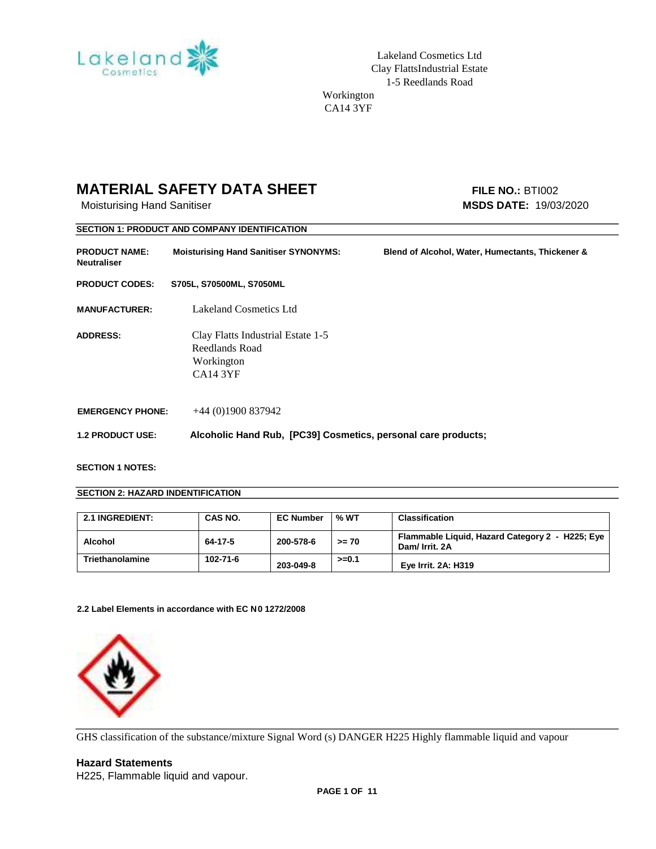

Lakeland Cosmetics Ltd Clay FlattsIndustrial Estate 1-5 Reedlands Road Workington

CA14 3YF

### **MATERIAL SAFETY DATA SHEET** FILE NO.: BTI002

Moisturising Hand Sanitiser **MSDS DATE:** 19/03/2020

|                                            | <b>SECTION 1: PRODUCT AND COMPANY IDENTIFICATION</b>                                 |                                                  |
|--------------------------------------------|--------------------------------------------------------------------------------------|--------------------------------------------------|
| <b>PRODUCT NAME:</b><br><b>Neutraliser</b> | <b>Moisturising Hand Sanitiser SYNONYMS:</b>                                         | Blend of Alcohol, Water, Humectants, Thickener & |
| <b>PRODUCT CODES:</b>                      | S705L, S70500ML, S7050ML                                                             |                                                  |
| <b>MANUFACTURER:</b>                       | Lakeland Cosmetics Ltd                                                               |                                                  |
| <b>ADDRESS:</b>                            | Clay Flatts Industrial Estate 1-5<br>Reedlands Road<br>Workington<br><b>CA14 3YF</b> |                                                  |
| <b>EMERGENCY PHONE:</b>                    | $+44(0)1900837942$                                                                   |                                                  |
| <b>1.2 PRODUCT USE:</b>                    | Alcoholic Hand Rub, [PC39] Cosmetics, personal care products;                        |                                                  |

#### **SECTION 1 NOTES:**

#### **SECTION 2: HAZARD INDENTIFICATION**

| <b>2.1 INGREDIENT:</b> | CAS NO.  | <b>EC Number</b> | % WT    | <b>Classification</b>                                             |
|------------------------|----------|------------------|---------|-------------------------------------------------------------------|
| Alcohol                | 64-17-5  | 200-578-6        | $>= 70$ | Flammable Liquid, Hazard Category 2 - H225; Eye<br>Dam/ Irrit. 2A |
| Triethanolamine        | 102-71-6 | 203-049-8        | $>=0.1$ | Eye Irrit. 2A: H319                                               |

**2.2 Label Elements in accordance with EC N0 1272/2008**



GHS classification of the substance/mixture Signal Word (s) DANGER H225 Highly flammable liquid and vapour

### **Hazard Statements**

H225, Flammable liquid and vapour.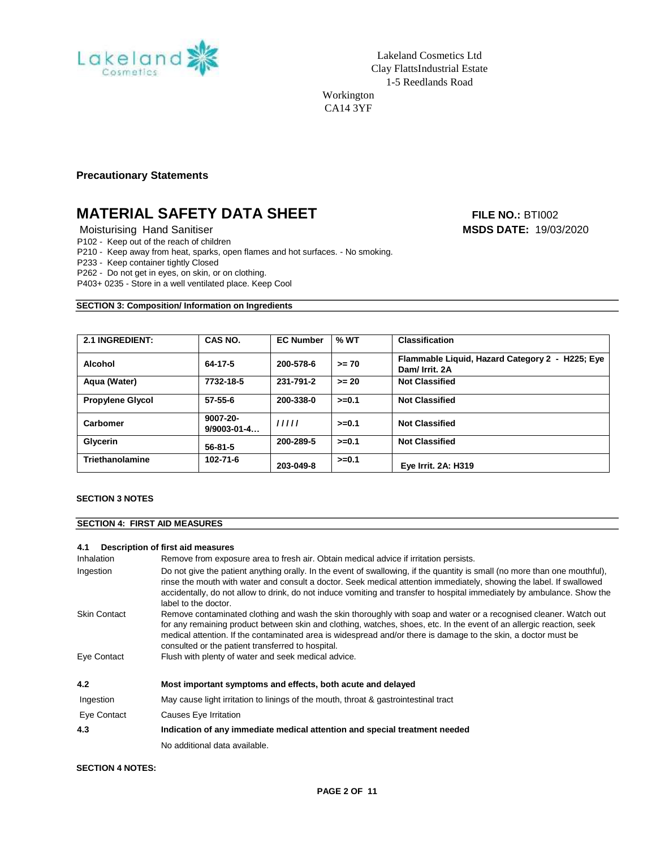

Workington CA14 3YF

**Precautionary Statements** 

## **MATERIAL SAFETY DATA SHEET** FILE NO.: BTI002

Moisturising Hand Sanitiser **MSDS DATE:** 19/03/2020

P102 - Keep out of the reach of children

P210 - Keep away from heat, sparks, open flames and hot surfaces. - No smoking.

P233 - Keep container tightly Closed

P262 - Do not get in eyes, on skin, or on clothing.

P403+ 0235 - Store in a well ventilated place. Keep Cool

#### **SECTION 3: Composition/ Information on Ingredients**

| <b>2.1 INGREDIENT:</b>  | CAS NO.                       | <b>EC Number</b> | % WT     | <b>Classification</b>                                             |
|-------------------------|-------------------------------|------------------|----------|-------------------------------------------------------------------|
| Alcohol                 | 64-17-5                       | 200-578-6        | $>= 70$  | Flammable Liquid, Hazard Category 2 - H225; Eye<br>Dam/ Irrit. 2A |
| Aqua (Water)            | 7732-18-5                     | 231-791-2        | $>= 20$  | <b>Not Classified</b>                                             |
| <b>Propylene Glycol</b> | $57 - 55 - 6$                 | 200-338-0        | $>= 0.1$ | <b>Not Classified</b>                                             |
| <b>Carbomer</b>         | 9007-20-<br>$9/9003 - 01 - 4$ | 11111            | $>=0.1$  | <b>Not Classified</b>                                             |
| Glycerin                | $56 - 81 - 5$                 | 200-289-5        | $>=0.1$  | <b>Not Classified</b>                                             |
| Triethanolamine         | $102 - 71 - 6$                | 203-049-8        | $>=0.1$  | <b>Eye Irrit. 2A: H319</b>                                        |

#### **SECTION 3 NOTES**

#### **SECTION 4: FIRST AID MEASURES**

#### **4.1 Description of first aid measures**

Inhalation Remove from exposure area to fresh air. Obtain medical advice if irritation persists.

| Ingestion           | Do not give the patient anything orally. In the event of swallowing, if the quantity is small (no more than one mouthful),<br>rinse the mouth with water and consult a doctor. Seek medical attention immediately, showing the label. If swallowed<br>accidentally, do not allow to drink, do not induce vomiting and transfer to hospital immediately by ambulance. Show the<br>label to the doctor.           |
|---------------------|-----------------------------------------------------------------------------------------------------------------------------------------------------------------------------------------------------------------------------------------------------------------------------------------------------------------------------------------------------------------------------------------------------------------|
| <b>Skin Contact</b> | Remove contaminated clothing and wash the skin thoroughly with soap and water or a recognised cleaner. Watch out<br>for any remaining product between skin and clothing, watches, shoes, etc. In the event of an allergic reaction, seek<br>medical attention. If the contaminated area is widespread and/or there is damage to the skin, a doctor must be<br>consulted or the patient transferred to hospital. |
| Eye Contact         | Flush with plenty of water and seek medical advice.                                                                                                                                                                                                                                                                                                                                                             |
| 4.2                 | Most important symptoms and effects, both acute and delayed                                                                                                                                                                                                                                                                                                                                                     |
| Ingestion           | May cause light irritation to linings of the mouth, throat & gastrointestinal tract                                                                                                                                                                                                                                                                                                                             |
| Eye Contact         | Causes Eye Irritation                                                                                                                                                                                                                                                                                                                                                                                           |
| 4.3                 | Indication of any immediate medical attention and special treatment needed                                                                                                                                                                                                                                                                                                                                      |
|                     | No additional data available.                                                                                                                                                                                                                                                                                                                                                                                   |
|                     |                                                                                                                                                                                                                                                                                                                                                                                                                 |

#### **SECTION 4 NOTES:**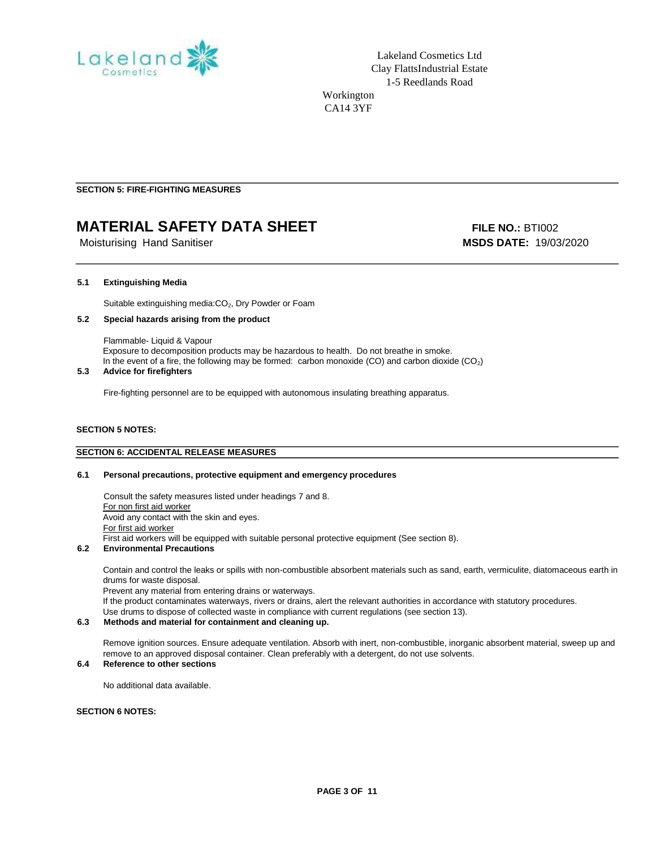

**SECTION 5: FIRE-FIGHTING MEASURES** 

## **MATERIAL SAFETY DATA SHEET** FILE NO.: BTI002

Moisturising Hand Sanitiser **MSDS DATE:** 19/03/2020

#### **5.1 Extinguishing Media**

Suitable extinguishing media: CO<sub>2</sub>, Dry Powder or Foam

#### **5.2 Special hazards arising from the product**

 Flammable- Liquid & Vapour Exposure to decomposition products may be hazardous to health. Do not breathe in smoke. In the event of a fire, the following may be formed: carbon monoxide (CO) and carbon dioxide (CO<sub>2</sub>)

#### **5.3 Advice for firefighters**

Fire-fighting personnel are to be equipped with autonomous insulating breathing apparatus.

#### **SECTION 5 NOTES:**

#### **SECTION 6: ACCIDENTAL RELEASE MEASURES**

#### **6.1 Personal precautions, protective equipment and emergency procedures**

 Consult the safety measures listed under headings 7 and 8. For non first aid worker Avoid any contact with the skin and eyes. For first aid worker First aid workers will be equipped with suitable personal protective equipment (See section 8).

#### **6.2 Environmental Precautions**

 Contain and control the leaks or spills with non-combustible absorbent materials such as sand, earth, vermiculite, diatomaceous earth in drums for waste disposal.

Prevent any material from entering drains or waterways. If the product contaminates waterways, rivers or drains, alert the relevant authorities in accordance with statutory procedures. Use drums to dispose of collected waste in compliance with current regulations (see section 13).

#### **6.3 Methods and material for containment and cleaning up.**

Remove ignition sources. Ensure adequate ventilation. Absorb with inert, non-combustible, inorganic absorbent material, sweep up and remove to an approved disposal container. Clean preferably with a detergent, do not use solvents.

#### **6.4 Reference to other sections**

No additional data available.

#### **SECTION 6 NOTES:**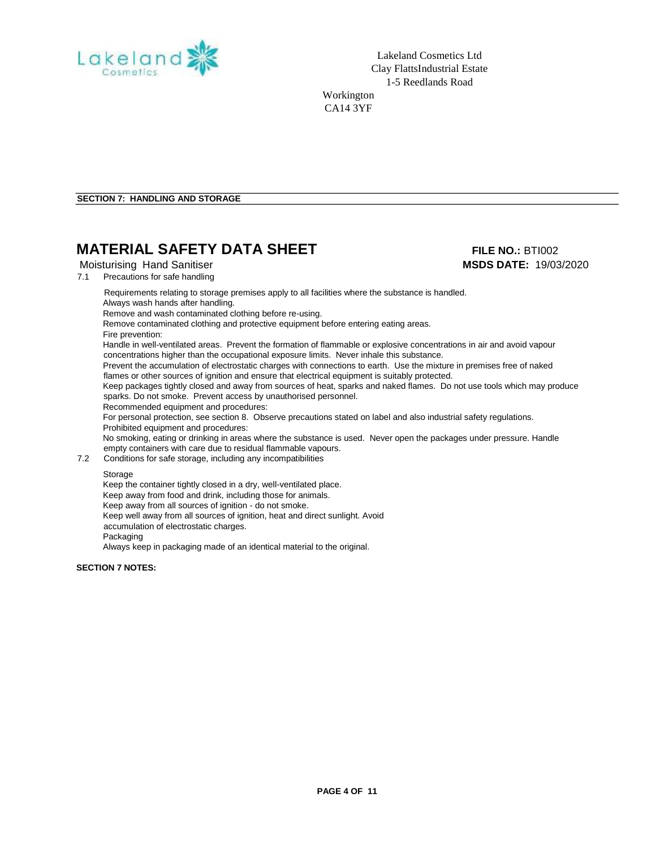

Lakeland Cosmetics Ltd Clay FlattsIndustrial Estate 1-5 Reedlands Road Workington CA14 3YF

**SECTION 7: HANDLING AND STORAGE**

### **MATERIAL SAFETY DATA SHEET** FILE NO.: BTI002

7.1 Precautions for safe handling

Requirements relating to storage premises apply to all facilities where the substance is handled.

Always wash hands after handling. Remove and wash contaminated clothing before re-using.

Remove contaminated clothing and protective equipment before entering eating areas.

Fire prevention:

Handle in well-ventilated areas. Prevent the formation of flammable or explosive concentrations in air and avoid vapour concentrations higher than the occupational exposure limits. Never inhale this substance.

Prevent the accumulation of electrostatic charges with connections to earth. Use the mixture in premises free of naked flames or other sources of ignition and ensure that electrical equipment is suitably protected.

Keep packages tightly closed and away from sources of heat, sparks and naked flames. Do not use tools which may produce sparks. Do not smoke. Prevent access by unauthorised personnel.

Recommended equipment and procedures:

For personal protection, see section 8. Observe precautions stated on label and also industrial safety regulations. Prohibited equipment and procedures:

No smoking, eating or drinking in areas where the substance is used. Never open the packages under pressure. Handle empty containers with care due to residual flammable vapours.

7.2 Conditions for safe storage, including any incompatibilities

#### Storage

Keep the container tightly closed in a dry, well-ventilated place. Keep away from food and drink, including those for animals. Keep away from all sources of ignition - do not smoke. Keep well away from all sources of ignition, heat and direct sunlight. Avoid accumulation of electrostatic charges. Packaging Always keep in packaging made of an identical material to the original.

**SECTION 7 NOTES:** 

# Moisturising Hand Sanitiser **MSDS DATE:** 19/03/2020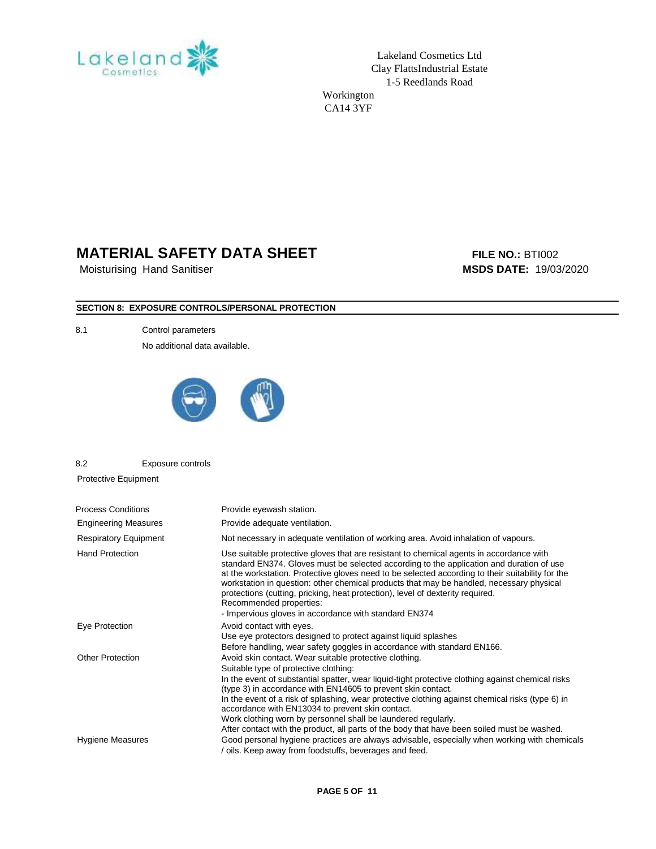

Lakeland Cosmetics Ltd Clay FlattsIndustrial Estate 1-5 Reedlands Road

Workington CA14 3YF

### **MATERIAL SAFETY DATA SHEET** FILE NO.: BTI002

Moisturising Hand Sanitiser **MSDS DATE:** 19/03/2020

### **SECTION 8: EXPOSURE CONTROLS/PERSONAL PROTECTION**

8.1 Control parameters

No additional data available.



8.2 Exposure controls

Protective Equipment

| <b>Process Conditions</b>    | Provide eyewash station.                                                                                                                                                                                                                                                                                                                                                                                                                                                                                                                                                                     |
|------------------------------|----------------------------------------------------------------------------------------------------------------------------------------------------------------------------------------------------------------------------------------------------------------------------------------------------------------------------------------------------------------------------------------------------------------------------------------------------------------------------------------------------------------------------------------------------------------------------------------------|
| <b>Engineering Measures</b>  | Provide adequate ventilation.                                                                                                                                                                                                                                                                                                                                                                                                                                                                                                                                                                |
| <b>Respiratory Equipment</b> | Not necessary in adequate ventilation of working area. Avoid inhalation of vapours.                                                                                                                                                                                                                                                                                                                                                                                                                                                                                                          |
| <b>Hand Protection</b>       | Use suitable protective gloves that are resistant to chemical agents in accordance with<br>standard EN374. Gloves must be selected according to the application and duration of use<br>at the workstation. Protective gloves need to be selected according to their suitability for the<br>workstation in question: other chemical products that may be handled, necessary physical<br>protections (cutting, pricking, heat protection), level of dexterity required.<br>Recommended properties:<br>- Impervious gloves in accordance with standard EN374                                    |
| Eye Protection               | Avoid contact with eyes.<br>Use eye protectors designed to protect against liquid splashes<br>Before handling, wear safety goggles in accordance with standard EN166.                                                                                                                                                                                                                                                                                                                                                                                                                        |
| <b>Other Protection</b>      | Avoid skin contact. Wear suitable protective clothing.<br>Suitable type of protective clothing:<br>In the event of substantial spatter, wear liquid-tight protective clothing against chemical risks<br>(type 3) in accordance with EN14605 to prevent skin contact.<br>In the event of a risk of splashing, wear protective clothing against chemical risks (type 6) in<br>accordance with EN13034 to prevent skin contact.<br>Work clothing worn by personnel shall be laundered regularly.<br>After contact with the product, all parts of the body that have been soiled must be washed. |
| Hygiene Measures             | Good personal hygiene practices are always advisable, especially when working with chemicals<br>oils. Keep away from foodstuffs, beverages and feed.                                                                                                                                                                                                                                                                                                                                                                                                                                         |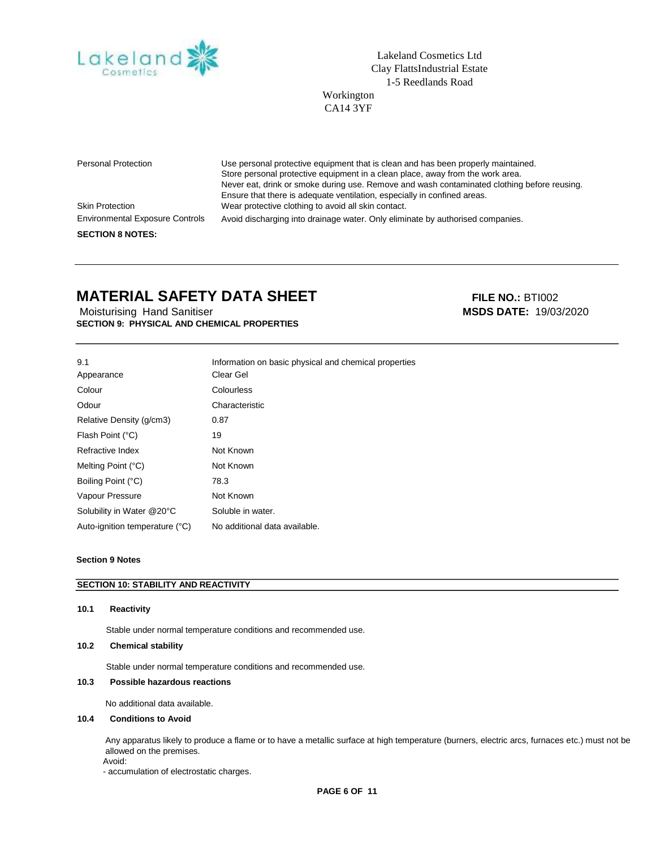

Lakeland Cosmetics Ltd Clay FlattsIndustrial Estate 1-5 Reedlands Road

Workington CA14 3YF

Personal Protection Use personal protective equipment that is clean and has been properly maintained. Store personal protective equipment in a clean place, away from the work area. Never eat, drink or smoke during use. Remove and wash contaminated clothing before reusing. Ensure that there is adequate ventilation, especially in confined areas. Skin Protection Wear protective clothing to avoid all skin contact. Environmental Exposure Controls **SECTION 8 NOTES:**  Avoid discharging into drainage water. Only eliminate by authorised companies.

### **MATERIAL SAFETY DATA SHEET** FILE NO.: BTI002

Moisturising Hand Sanitiser **MSDS DATE:** 19/03/2020 **SECTION 9: PHYSICAL AND CHEMICAL PROPERTIES** 

| 9.1                            | Information on basic physical and chemical properties |
|--------------------------------|-------------------------------------------------------|
| Appearance                     | Clear Gel                                             |
| Colour                         | Colourless                                            |
| Odour                          | Characteristic                                        |
| Relative Density (g/cm3)       | 0.87                                                  |
| Flash Point (°C)               | 19                                                    |
| Refractive Index               | Not Known                                             |
| Melting Point (°C)             | Not Known                                             |
| Boiling Point (°C)             | 78.3                                                  |
| Vapour Pressure                | Not Known                                             |
| Solubility in Water @20°C      | Soluble in water.                                     |
| Auto-ignition temperature (°C) | No additional data available.                         |

#### **Section 9 Notes**

#### **SECTION 10: STABILITY AND REACTIVITY**

#### **10.1 Reactivity**

Stable under normal temperature conditions and recommended use.

#### **10.2 Chemical stability**

Stable under normal temperature conditions and recommended use.

#### **10.3 Possible hazardous reactions**

No additional data available.

#### **10.4 Conditions to Avoid**

 Any apparatus likely to produce a flame or to have a metallic surface at high temperature (burners, electric arcs, furnaces etc.) must not be allowed on the premises.

Avoid:

- accumulation of electrostatic charges.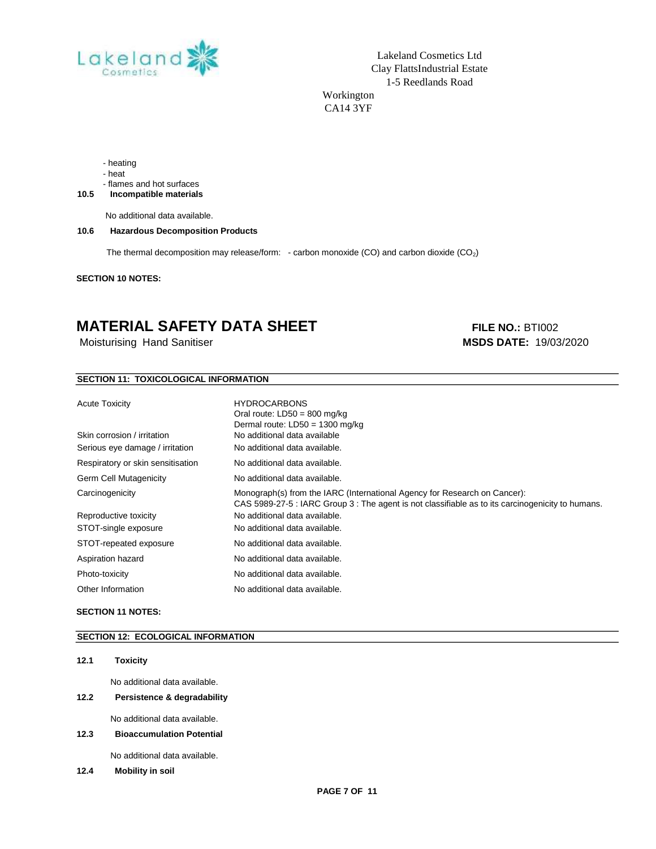

Lakeland Cosmetics Ltd Clay FlattsIndustrial Estate 1-5 Reedlands Road Workington

CA14 3YF

- heating

- heat

- flames and hot surfaces

**10.5 Incompatible materials**

No additional data available.

#### **10.6 Hazardous Decomposition Products**

The thermal decomposition may release/form: - carbon monoxide (CO) and carbon dioxide (CO<sub>2</sub>)

**SECTION 10 NOTES:** 

### **MATERIAL SAFETY DATA SHEET** FILE NO.: BTI002

Moisturising Hand Sanitiser **MSDS DATE:** 19/03/2020

#### **SECTION 11: TOXICOLOGICAL INFORMATION**

| <b>Acute Toxicity</b>             | <b>HYDROCARBONS</b><br>Oral route: $LD50 = 800$ mg/kg<br>Dermal route: $LD50 = 1300$ mg/kg                                                                                     |
|-----------------------------------|--------------------------------------------------------------------------------------------------------------------------------------------------------------------------------|
| Skin corrosion / irritation       | No additional data available                                                                                                                                                   |
| Serious eye damage / irritation   | No additional data available.                                                                                                                                                  |
| Respiratory or skin sensitisation | No additional data available.                                                                                                                                                  |
| Germ Cell Mutagenicity            | No additional data available.                                                                                                                                                  |
| Carcinogenicity                   | Monograph(s) from the IARC (International Agency for Research on Cancer):<br>CAS 5989-27-5 : IARC Group 3 : The agent is not classifiable as to its carcinogenicity to humans. |
| Reproductive toxicity             | No additional data available.                                                                                                                                                  |
| STOT-single exposure              | No additional data available.                                                                                                                                                  |
| STOT-repeated exposure            | No additional data available.                                                                                                                                                  |
| Aspiration hazard                 | No additional data available.                                                                                                                                                  |
| Photo-toxicity                    | No additional data available.                                                                                                                                                  |
| Other Information                 | No additional data available.                                                                                                                                                  |

#### **SECTION 11 NOTES:**

#### **SECTION 12: ECOLOGICAL INFORMATION**

#### **12.1 Toxicity**

No additional data available.

**12.2 Persistence & degradability**

No additional data available.

**12.3 Bioaccumulation Potential**

No additional data available.

**12.4 Mobility in soil**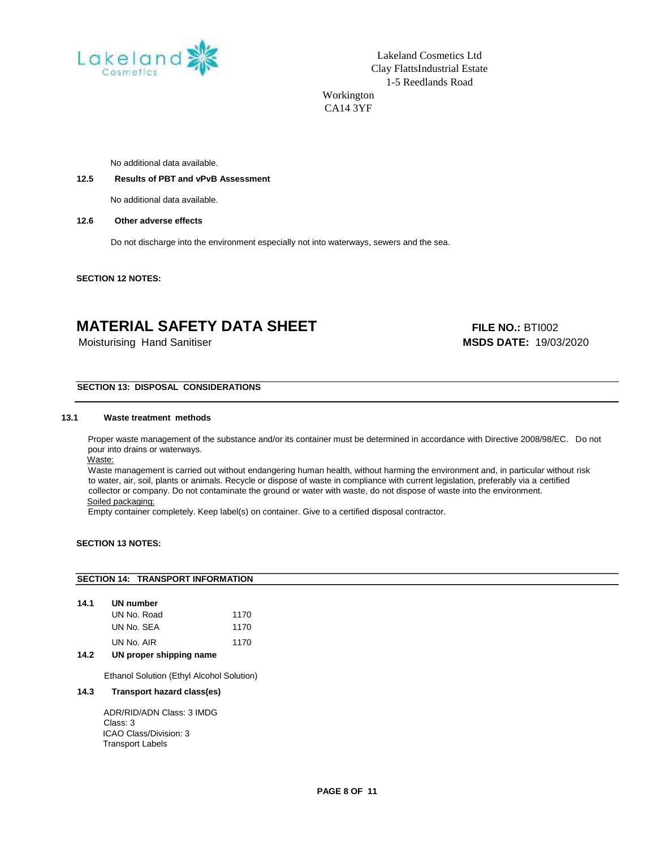

Lakeland Cosmetics Ltd Clay FlattsIndustrial Estate 1-5 Reedlands Road Workington

CA14 3YF

No additional data available.

#### **12.5 Results of PBT and vPvB Assessment**

No additional data available.

#### **12.6 Other adverse effects**

Do not discharge into the environment especially not into waterways, sewers and the sea.

**SECTION 12 NOTES:** 

### **MATERIAL SAFETY DATA SHEET** FILE NO.: BTI002

Moisturising Hand Sanitiser

**MSDS DATE:** 19/03/2020

#### **SECTION 13: DISPOSAL CONSIDERATIONS**

#### **13.1 Waste treatment methods**

 Proper waste management of the substance and/or its container must be determined in accordance with Directive 2008/98/EC. Do not pour into drains or waterways.

Waste:

Waste management is carried out without endangering human health, without harming the environment and, in particular without risk to water, air, soil, plants or animals. Recycle or dispose of waste in compliance with current legislation, preferably via a certified collector or company. Do not contaminate the ground or water with waste, do not dispose of waste into the environment. Soiled packaging:

Empty container completely. Keep label(s) on container. Give to a certified disposal contractor.

#### **SECTION 13 NOTES:**

# **SECTION 14: TRANSPORT INFORMATION**

| 14.1 | UN number   |      |  |  |
|------|-------------|------|--|--|
|      | UN No. Road | 1170 |  |  |
|      | UN No. SEA  | 1170 |  |  |
|      | UN No. AIR  | 1170 |  |  |

#### **14.2 UN proper shipping name**

Ethanol Solution (Ethyl Alcohol Solution)

#### **14.3 Transport hazard class(es)**

 ADR/RID/ADN Class: 3 IMDG Class: 3 ICAO Class/Division: 3 Transport Labels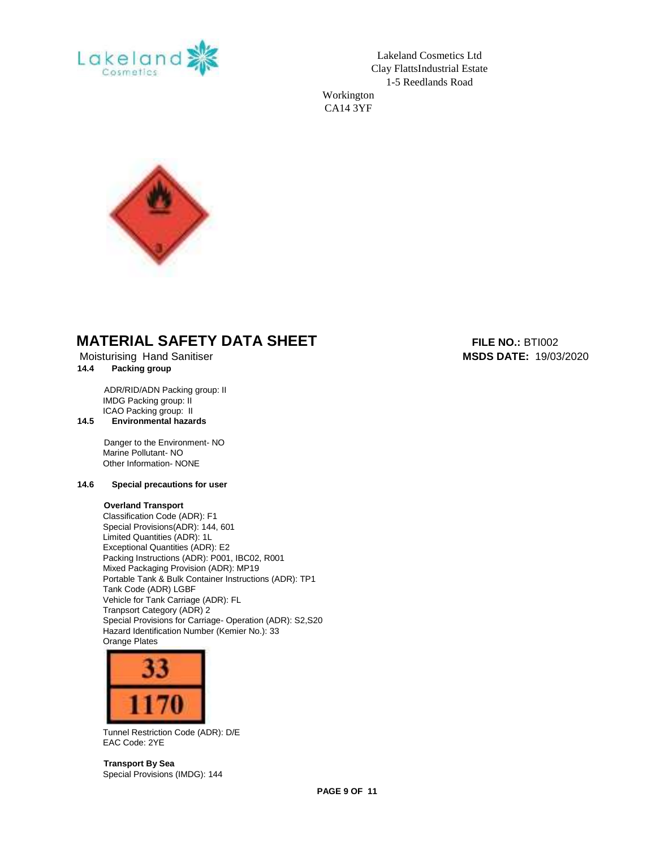

Lakeland Cosmetics Ltd Clay FlattsIndustrial Estate 1-5 Reedlands Road

Workington CA14 3YF



### **MATERIAL SAFETY DATA SHEET** FILE NO.: BTI002

Moisturising Hand Sanitiser **MSDS DATE:** 19/03/2020

#### **14.4 Packing group**

 ADR/RID/ADN Packing group: II IMDG Packing group: II ICAO Packing group: II

**14.5 Environmental hazards**

 Danger to the Environment- NO Marine Pollutant- NO Other Information- NONE

#### **14.6 Special precautions for user**

#### **Overland Transport**

Classification Code (ADR): F1 Special Provisions(ADR): 144, 601 Limited Quantities (ADR): 1L Exceptional Quantities (ADR): E2 Packing Instructions (ADR): P001, IBC02, R001 Mixed Packaging Provision (ADR): MP19 Portable Tank & Bulk Container Instructions (ADR): TP1 Tank Code (ADR) LGBF Vehicle for Tank Carriage (ADR): FL Tranpsort Category (ADR) 2 Special Provisions for Carriage- Operation (ADR): S2,S20 Hazard Identification Number (Kemier No.): 33 Orange Plates



Tunnel Restriction Code (ADR): D/E EAC Code: 2YE

**Transport By Sea**  Special Provisions (IMDG): 144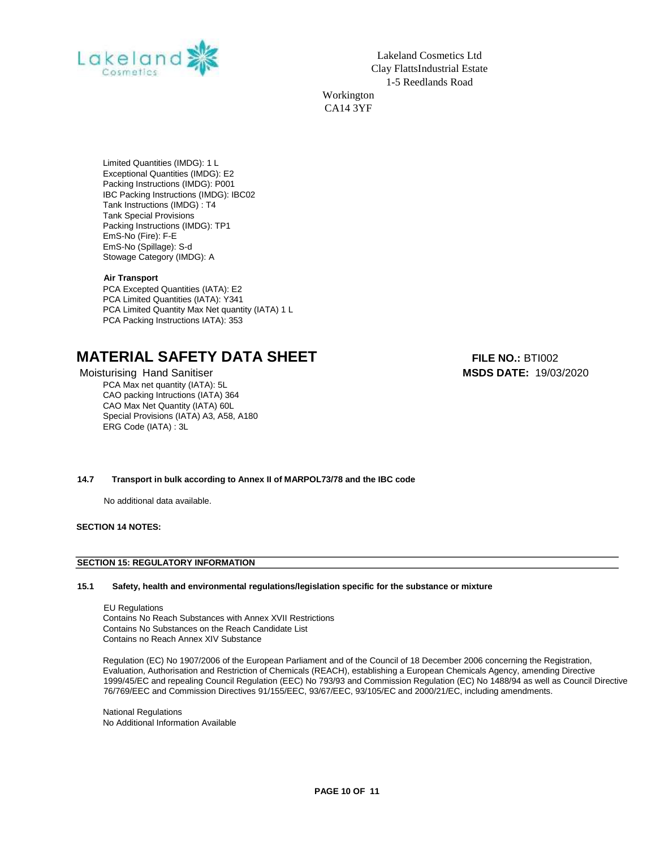

Lakeland Cosmetics Ltd Clay FlattsIndustrial Estate 1-5 Reedlands Road Workington CA14 3YF

Limited Quantities (IMDG): 1 L Exceptional Quantities (IMDG): E2 Packing Instructions (IMDG): P001 IBC Packing Instructions (IMDG): IBC02 Tank Instructions (IMDG) : T4 Tank Special Provisions Packing Instructions (IMDG): TP1 EmS-No (Fire): F-E EmS-No (Spillage): S-d Stowage Category (IMDG): A

#### **Air Transport**

PCA Excepted Quantities (IATA): E2 PCA Limited Quantities (IATA): Y341 PCA Limited Quantity Max Net quantity (IATA) 1 L PCA Packing Instructions IATA): 353

### **MATERIAL SAFETY DATA SHEET** FILE NO.: BTI002

PCA Max net quantity (IATA): 5L CAO packing Intructions (IATA) 364 CAO Max Net Quantity (IATA) 60L Special Provisions (IATA) A3, A58, A180 ERG Code (IATA) : 3L

Moisturising Hand Sanitiser **MSDS DATE:** 19/03/2020

#### **14.7 Transport in bulk according to Annex II of MARPOL73/78 and the IBC code**

No additional data available.

**SECTION 14 NOTES:** 

#### **SECTION 15: REGULATORY INFORMATION**

#### **15.1 Safety, health and environmental regulations/legislation specific for the substance or mixture**

 EU Regulations Contains No Reach Substances with Annex XVII Restrictions Contains No Substances on the Reach Candidate List Contains no Reach Annex XIV Substance

Regulation (EC) No 1907/2006 of the European Parliament and of the Council of 18 December 2006 concerning the Registration, Evaluation, Authorisation and Restriction of Chemicals (REACH), establishing a European Chemicals Agency, amending Directive 1999/45/EC and repealing Council Regulation (EEC) No 793/93 and Commission Regulation (EC) No 1488/94 as well as Council Directive 76/769/EEC and Commission Directives 91/155/EEC, 93/67/EEC, 93/105/EC and 2000/21/EC, including amendments.

National Regulations No Additional Information Available